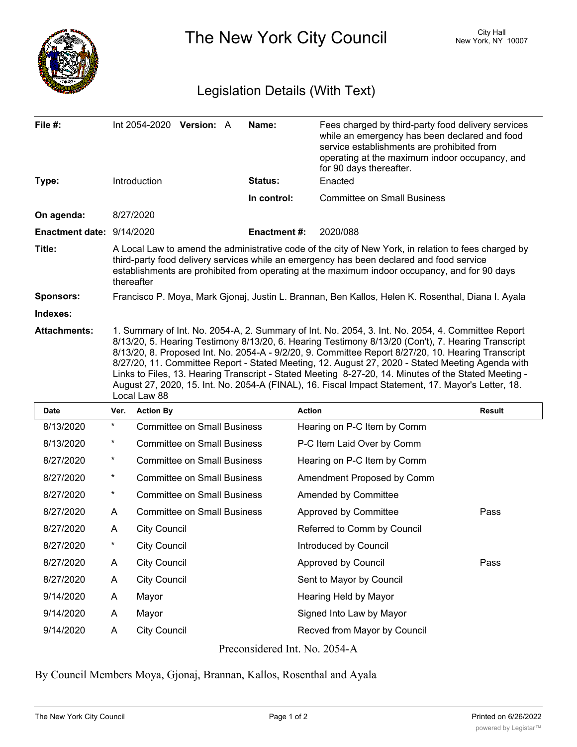

The New York City Council New York, NY 10007

## Legislation Details (With Text)

| File #:                   | Int 2054-2020 Version: A                                                                                                                                                                                                                                                                                                                                                                                                                                                                                                                                                                                                                        | Name:               | Fees charged by third-party food delivery services<br>while an emergency has been declared and food<br>service establishments are prohibited from<br>operating at the maximum indoor occupancy, and<br>for 90 days thereafter. |  |  |  |
|---------------------------|-------------------------------------------------------------------------------------------------------------------------------------------------------------------------------------------------------------------------------------------------------------------------------------------------------------------------------------------------------------------------------------------------------------------------------------------------------------------------------------------------------------------------------------------------------------------------------------------------------------------------------------------------|---------------------|--------------------------------------------------------------------------------------------------------------------------------------------------------------------------------------------------------------------------------|--|--|--|
| Type:                     | Introduction                                                                                                                                                                                                                                                                                                                                                                                                                                                                                                                                                                                                                                    | Status:             | Enacted                                                                                                                                                                                                                        |  |  |  |
|                           |                                                                                                                                                                                                                                                                                                                                                                                                                                                                                                                                                                                                                                                 | In control:         | <b>Committee on Small Business</b>                                                                                                                                                                                             |  |  |  |
| On agenda:                | 8/27/2020                                                                                                                                                                                                                                                                                                                                                                                                                                                                                                                                                                                                                                       |                     |                                                                                                                                                                                                                                |  |  |  |
| Enactment date: 9/14/2020 |                                                                                                                                                                                                                                                                                                                                                                                                                                                                                                                                                                                                                                                 | <b>Enactment #:</b> | 2020/088                                                                                                                                                                                                                       |  |  |  |
| Title:                    | A Local Law to amend the administrative code of the city of New York, in relation to fees charged by<br>third-party food delivery services while an emergency has been declared and food service<br>establishments are prohibited from operating at the maximum indoor occupancy, and for 90 days<br>thereafter                                                                                                                                                                                                                                                                                                                                 |                     |                                                                                                                                                                                                                                |  |  |  |
| <b>Sponsors:</b>          | Francisco P. Moya, Mark Gjonaj, Justin L. Brannan, Ben Kallos, Helen K. Rosenthal, Diana I. Ayala                                                                                                                                                                                                                                                                                                                                                                                                                                                                                                                                               |                     |                                                                                                                                                                                                                                |  |  |  |
| Indexes:                  |                                                                                                                                                                                                                                                                                                                                                                                                                                                                                                                                                                                                                                                 |                     |                                                                                                                                                                                                                                |  |  |  |
| <b>Attachments:</b>       | 1. Summary of Int. No. 2054-A, 2. Summary of Int. No. 2054, 3. Int. No. 2054, 4. Committee Report<br>8/13/20, 5. Hearing Testimony 8/13/20, 6. Hearing Testimony 8/13/20 (Con't), 7. Hearing Transcript<br>8/13/20, 8. Proposed Int. No. 2054-A - 9/2/20, 9. Committee Report 8/27/20, 10. Hearing Transcript<br>8/27/20, 11. Committee Report - Stated Meeting, 12. August 27, 2020 - Stated Meeting Agenda with<br>Links to Files, 13. Hearing Transcript - Stated Meeting 8-27-20, 14. Minutes of the Stated Meeting -<br>August 27, 2020, 15. Int. No. 2054-A (FINAL), 16. Fiscal Impact Statement, 17. Mayor's Letter, 18.<br>Local Law 88 |                     |                                                                                                                                                                                                                                |  |  |  |
|                           |                                                                                                                                                                                                                                                                                                                                                                                                                                                                                                                                                                                                                                                 |                     |                                                                                                                                                                                                                                |  |  |  |

| <b>Date</b>                   | Ver.       | <b>Action By</b>                   | Action                       | <b>Result</b> |  |  |
|-------------------------------|------------|------------------------------------|------------------------------|---------------|--|--|
| 8/13/2020                     | $\ast$     | <b>Committee on Small Business</b> | Hearing on P-C Item by Comm  |               |  |  |
| 8/13/2020                     | $^{\star}$ | <b>Committee on Small Business</b> | P-C Item Laid Over by Comm   |               |  |  |
| 8/27/2020                     | $^{\star}$ | <b>Committee on Small Business</b> | Hearing on P-C Item by Comm  |               |  |  |
| 8/27/2020                     | $^{\star}$ | <b>Committee on Small Business</b> | Amendment Proposed by Comm   |               |  |  |
| 8/27/2020                     | $\ast$     | <b>Committee on Small Business</b> | Amended by Committee         |               |  |  |
| 8/27/2020                     | A          | <b>Committee on Small Business</b> | Approved by Committee        | Pass          |  |  |
| 8/27/2020                     | A          | <b>City Council</b>                | Referred to Comm by Council  |               |  |  |
| 8/27/2020                     | $^{\star}$ | <b>City Council</b>                | Introduced by Council        |               |  |  |
| 8/27/2020                     | A          | <b>City Council</b>                | Approved by Council          | Pass          |  |  |
| 8/27/2020                     | A          | <b>City Council</b>                | Sent to Mayor by Council     |               |  |  |
| 9/14/2020                     | A          | Mayor                              | Hearing Held by Mayor        |               |  |  |
| 9/14/2020                     | A          | Mayor                              | Signed Into Law by Mayor     |               |  |  |
| 9/14/2020                     | A          | <b>City Council</b>                | Recved from Mayor by Council |               |  |  |
| Preconsidered Int. No. 2054-A |            |                                    |                              |               |  |  |

By Council Members Moya, Gjonaj, Brannan, Kallos, Rosenthal and Ayala